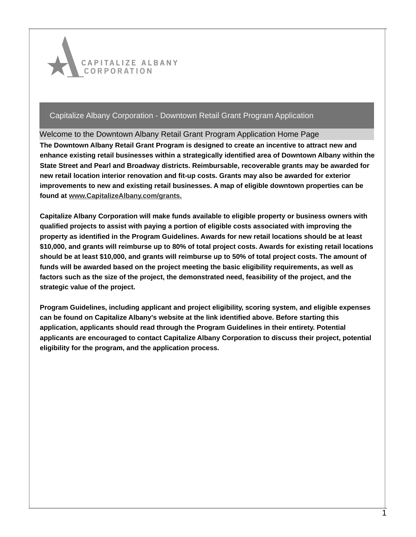

## Welcome to the Downtown Albany Retail Grant Program Application Home Page

**The Downtown Albany Retail Grant Program is designed to create an incentive to attract new and enhance existing retail businesses within a strategically identified area of Downtown Albany within the State Street and Pearl and Broadway districts. Reimbursable, recoverable grants may be awarded for new retail location interior renovation and fit-up costs. Grants may also be awarded for exterior improvements to new and existing retail businesses. A map of eligible downtown properties can be found at [www.CapitalizeAlbany.com/grants.](http://www.capitalizealbany.com/grants)**

**Capitalize Albany Corporation will make funds available to eligible property or business owners with qualified projects to assist with paying a portion of eligible costs associated with improving the property as identified in the Program Guidelines. Awards for new retail locations should be at least \$10,000, and grants will reimburse up to 80% of total project costs. Awards for existing retail locations should be at least \$10,000, and grants will reimburse up to 50% of total project costs. The amount of funds will be awarded based on the project meeting the basic eligibility requirements, as well as factors such as the size of the project, the demonstrated need, feasibility of the project, and the strategic value of the project.** 

**Program Guidelines, including applicant and project eligibility, scoring system, and eligible expenses can be found on Capitalize Albany's website at the link identified above. Before starting this application, applicants should read through the Program Guidelines in their entirety. Potential applicants are encouraged to contact Capitalize Albany Corporation to discuss their project, potential eligibility for the program, and the application process.**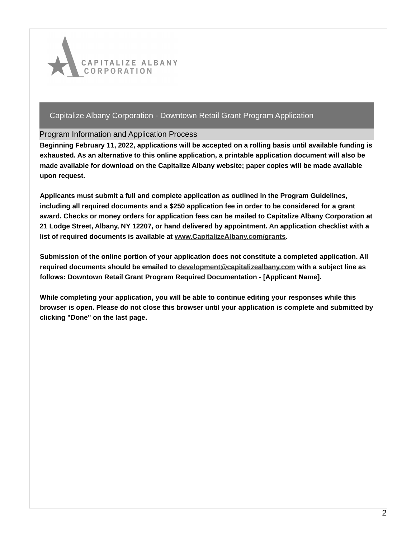

## Program Information and Application Process

**Beginning February 11, 2022, applications will be accepted on a rolling basis until available funding is exhausted. As an alternative to this online application, a printable application document will also be made available for download on the Capitalize Albany website; paper copies will be made available upon request.**

**Applicants must submit a full and complete application as outlined in the Program Guidelines, including all required documents and a \$250 application fee in order to be considered for a grant award. Checks or money orders for application fees can be mailed to Capitalize Albany Corporation at 21 Lodge Street, Albany, NY 12207, or hand delivered by appointment. An application checklist with a list of required documents is available at [www.CapitalizeAlbany.com/grants](http://www.capitalizealbany.com/grants).**

**Submission of the online portion of your application does not constitute a completed application. All required documents should be emailed to [development@capitalizealbany.com](mailto:development@capitalizealbany.com) with a subject line as follows: Downtown Retail Grant Program Required Documentation - [Applicant Name].**

**While completing your application, you will be able to continue editing your responses while this browser is open. Please do not close this browser until your application is complete and submitted by clicking "Done" on the last page.**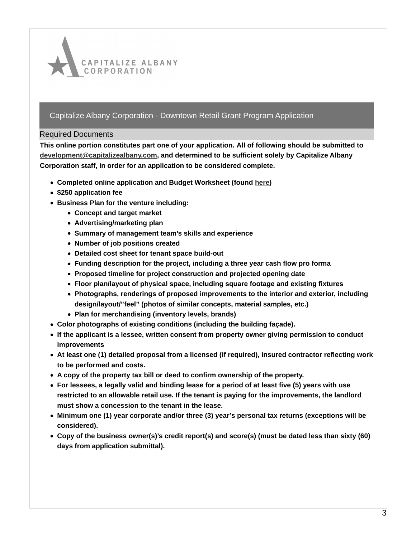

#### Required Documents

**This online portion constitutes part one of your application. All of following should be submitted to [development@capitalizealbany.com](mailto:development@capitalizealbany.com), and determined to be sufficient solely by Capitalize Albany Corporation staff, in order for an application to be considered complete.**

- **Completed online application and Budget Worksheet (found [here](http://www.capitalizealbany.com/grants))**
- **\$250 application fee**
- **Business Plan for the venture including:**
	- **Concept and target market**
	- **Advertising/marketing plan**
	- **Summary of management team's skills and experience**
	- **Number of job positions created**
	- **Detailed cost sheet for tenant space build-out**
	- **Funding description for the project, including a three year cash flow pro forma**
	- **Proposed timeline for project construction and projected opening date**
	- **Floor plan/layout of physical space, including square footage and existing fixtures**
	- **Photographs, renderings of proposed improvements to the interior and exterior, including design/layout/"feel" (photos of similar concepts, material samples, etc.)**
	- **Plan for merchandising (inventory levels, brands)**
- **Color photographs of existing conditions (including the building façade).**
- **If the applicant is a lessee, written consent from property owner giving permission to conduct improvements**
- **At least one (1) detailed proposal from a licensed (if required), insured contractor reflecting work to be performed and costs.**
- **A copy of the property tax bill or deed to confirm ownership of the property.**
- For lessees, a legally valid and binding lease for a period of at least five (5) years with use **restricted to an allowable retail use. If the tenant is paying for the improvements, the landlord must show a concession to the tenant in the lease.**
- **Minimum one (1) year corporate and/or three (3) year's personal tax returns (exceptions will be considered).**
- **Copy of the business owner(s)'s credit report(s) and score(s) (must be dated less than sixty (60) days from application submittal).**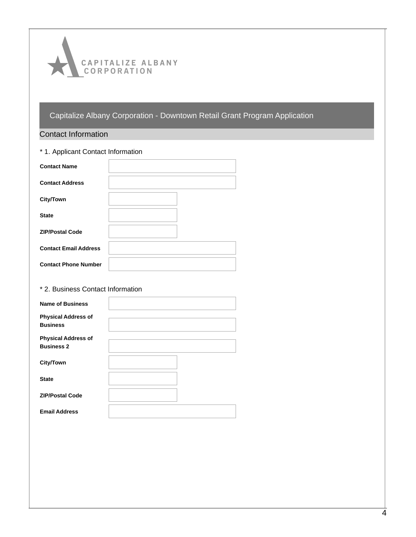

# Contact Information

| * 1. Applicant Contact Information |  |
|------------------------------------|--|
| <b>Contact Name</b>                |  |
| <b>Contact Address</b>             |  |
| <b>City/Town</b>                   |  |
| <b>State</b>                       |  |
| <b>ZIP/Postal Code</b>             |  |
| <b>Contact Email Address</b>       |  |
| <b>Contact Phone Number</b>        |  |

# \* 2. Business Contact Information

| <b>Name of Business</b>                         |  |
|-------------------------------------------------|--|
| <b>Physical Address of</b><br><b>Business</b>   |  |
| <b>Physical Address of</b><br><b>Business 2</b> |  |
| City/Town                                       |  |
| <b>State</b>                                    |  |
| <b>ZIP/Postal Code</b>                          |  |
| <b>Email Address</b>                            |  |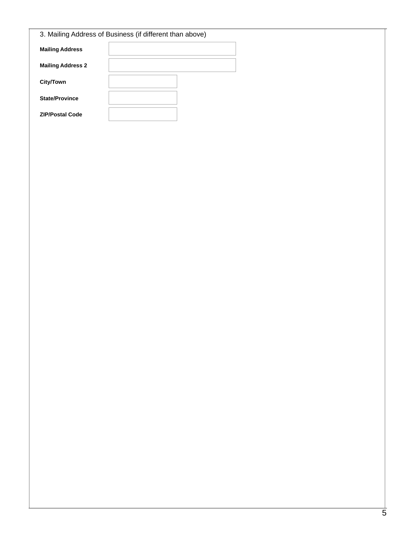|                          | 3. Mailing Address of Business (if different than above) |
|--------------------------|----------------------------------------------------------|
| <b>Mailing Address</b>   |                                                          |
| <b>Mailing Address 2</b> |                                                          |
| City/Town                |                                                          |
| <b>State/Province</b>    |                                                          |
| <b>ZIP/Postal Code</b>   |                                                          |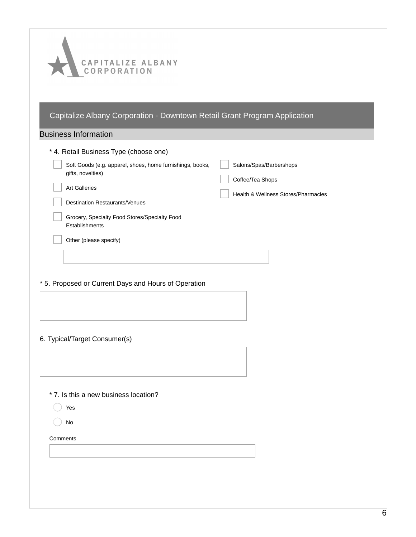| CAPITALIZE ALBANY<br>LCORPORATION                                              |                                     |
|--------------------------------------------------------------------------------|-------------------------------------|
|                                                                                |                                     |
|                                                                                |                                     |
| Capitalize Albany Corporation - Downtown Retail Grant Program Application      |                                     |
|                                                                                |                                     |
| <b>Business Information</b>                                                    |                                     |
| * 4. Retail Business Type (choose one)                                         |                                     |
| Soft Goods (e.g. apparel, shoes, home furnishings, books,<br>gifts, novelties) | Salons/Spas/Barbershops             |
| <b>Art Galleries</b>                                                           | Coffee/Tea Shops                    |
| <b>Destination Restaurants/Venues</b>                                          | Health & Wellness Stores/Pharmacies |
| Grocery, Specialty Food Stores/Specialty Food                                  |                                     |
| Establishments                                                                 |                                     |
| Other (please specify)                                                         |                                     |
|                                                                                |                                     |
|                                                                                |                                     |
| * 5. Proposed or Current Days and Hours of Operation                           |                                     |
|                                                                                |                                     |
|                                                                                |                                     |
|                                                                                |                                     |
| 6. Typical/Target Consumer(s)                                                  |                                     |
|                                                                                |                                     |
|                                                                                |                                     |
| * 7. Is this a new business location?                                          |                                     |
| Yes                                                                            |                                     |
| No                                                                             |                                     |
| Comments                                                                       |                                     |
|                                                                                |                                     |
|                                                                                |                                     |
|                                                                                |                                     |
|                                                                                |                                     |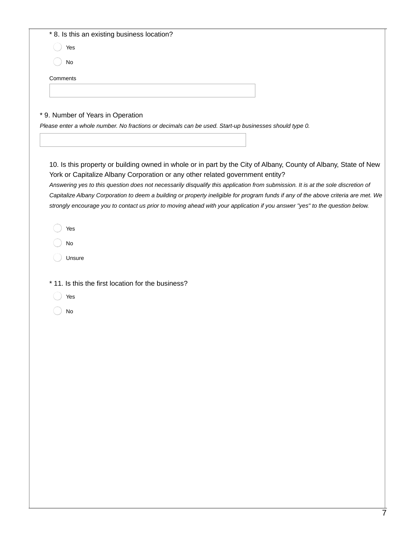| * 8. Is this an existing business location?                                                                                                                                                                                                                                                                                                                                                                                                                                                                                                                                                                                                                                                          |
|------------------------------------------------------------------------------------------------------------------------------------------------------------------------------------------------------------------------------------------------------------------------------------------------------------------------------------------------------------------------------------------------------------------------------------------------------------------------------------------------------------------------------------------------------------------------------------------------------------------------------------------------------------------------------------------------------|
| Yes                                                                                                                                                                                                                                                                                                                                                                                                                                                                                                                                                                                                                                                                                                  |
| No                                                                                                                                                                                                                                                                                                                                                                                                                                                                                                                                                                                                                                                                                                   |
| Comments                                                                                                                                                                                                                                                                                                                                                                                                                                                                                                                                                                                                                                                                                             |
|                                                                                                                                                                                                                                                                                                                                                                                                                                                                                                                                                                                                                                                                                                      |
|                                                                                                                                                                                                                                                                                                                                                                                                                                                                                                                                                                                                                                                                                                      |
| * 9. Number of Years in Operation                                                                                                                                                                                                                                                                                                                                                                                                                                                                                                                                                                                                                                                                    |
| Please enter a whole number. No fractions or decimals can be used. Start-up businesses should type 0.                                                                                                                                                                                                                                                                                                                                                                                                                                                                                                                                                                                                |
|                                                                                                                                                                                                                                                                                                                                                                                                                                                                                                                                                                                                                                                                                                      |
| 10. Is this property or building owned in whole or in part by the City of Albany, County of Albany, State of New<br>York or Capitalize Albany Corporation or any other related government entity?<br>Answering yes to this question does not necessarily disqualify this application from submission. It is at the sole discretion of<br>Capitalize Albany Corporation to deem a building or property ineligible for program funds if any of the above criteria are met. We<br>strongly encourage you to contact us prior to moving ahead with your application if you answer "yes" to the question below.<br>Yes<br>No<br>Unsure<br>* 11. Is this the first location for the business?<br>Yes<br>No |
|                                                                                                                                                                                                                                                                                                                                                                                                                                                                                                                                                                                                                                                                                                      |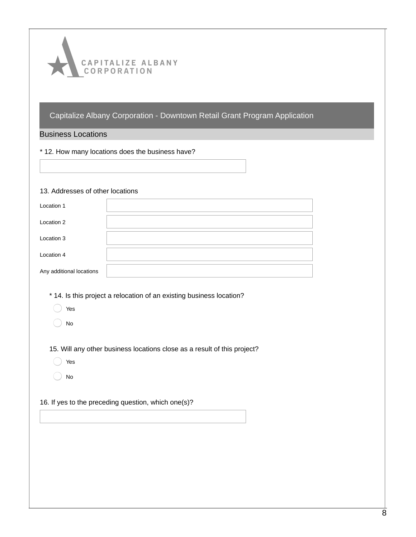

#### Business Locations

\* 12. How many locations does the business have?

#### 13. Addresses of other locations

| Location 1               |  |
|--------------------------|--|
| Location 2               |  |
| Location 3               |  |
| Location 4               |  |
| Any additional locations |  |

- \* 14. Is this project a relocation of an existing business location?
	- Yes
	- No

15. Will any other business locations close as a result of this project?

- Yes
- No

#### 16. If yes to the preceding question, which one(s)?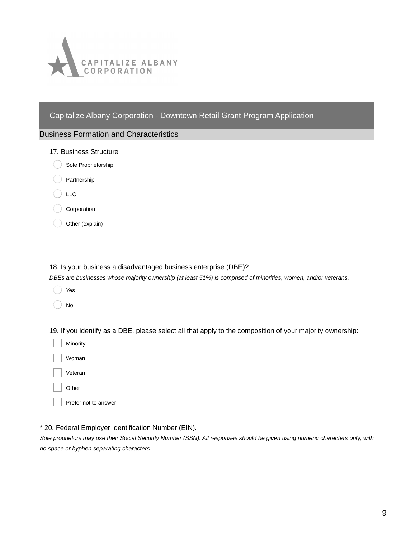| CAPITALIZE ALBANY<br>CORPORATION                                                                                                                                                                                                   |
|------------------------------------------------------------------------------------------------------------------------------------------------------------------------------------------------------------------------------------|
| Capitalize Albany Corporation - Downtown Retail Grant Program Application<br><b>Business Formation and Characteristics</b>                                                                                                         |
| 17. Business Structure                                                                                                                                                                                                             |
| Sole Proprietorship                                                                                                                                                                                                                |
| Partnership                                                                                                                                                                                                                        |
| <b>LLC</b>                                                                                                                                                                                                                         |
| Corporation                                                                                                                                                                                                                        |
| Other (explain)                                                                                                                                                                                                                    |
|                                                                                                                                                                                                                                    |
| 18. Is your business a disadvantaged business enterprise (DBE)?<br>DBEs are businesses whose majority ownership (at least 51%) is comprised of minorities, women, and/or veterans.<br>Yes<br>No                                    |
| 19. If you identify as a DBE, please select all that apply to the composition of your majority ownership:                                                                                                                          |
| Minority                                                                                                                                                                                                                           |
| Woman                                                                                                                                                                                                                              |
| Veteran                                                                                                                                                                                                                            |
| Other                                                                                                                                                                                                                              |
| Prefer not to answer                                                                                                                                                                                                               |
| * 20. Federal Employer Identification Number (EIN).<br>Sole proprietors may use their Social Security Number (SSN). All responses should be given using numeric characters only, with<br>no space or hyphen separating characters. |
|                                                                                                                                                                                                                                    |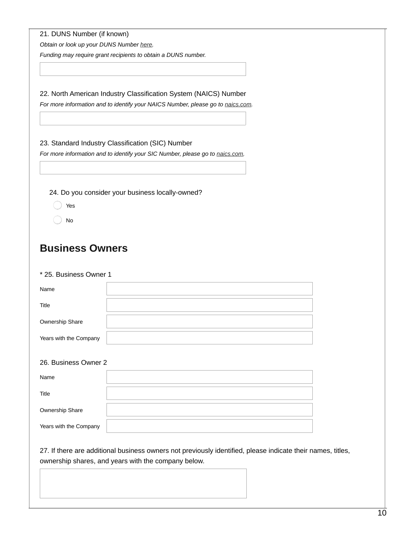*Obtain or look up your DUNS Number [here](https://www.dnb.com/duns-number).*

*Funding may require grant recipients to obtain a DUNS number.*

22. North American Industry Classification System (NAICS) Number

*For more information and to identify your NAICS Number, please go to [naics.com](https://www.naics.com/search/).*

## 23. Standard Industry Classification (SIC) Number

*For more information and to identify your SIC Number, please go to [naics.com](https://www.naics.com/search/).*

24. Do you consider your business locally-owned?

- Yes
- No

# **Business Owners**

#### \* 25. Business Owner 1

| Name                   |  |
|------------------------|--|
| Title                  |  |
| Ownership Share        |  |
| Years with the Company |  |
| $\overline{a}$         |  |

# 26. Business Owner 2

| Name                   |  |
|------------------------|--|
| Title                  |  |
| Ownership Share        |  |
| Years with the Company |  |

27. If there are additional business owners not previously identified, please indicate their names, titles, ownership shares, and years with the company below.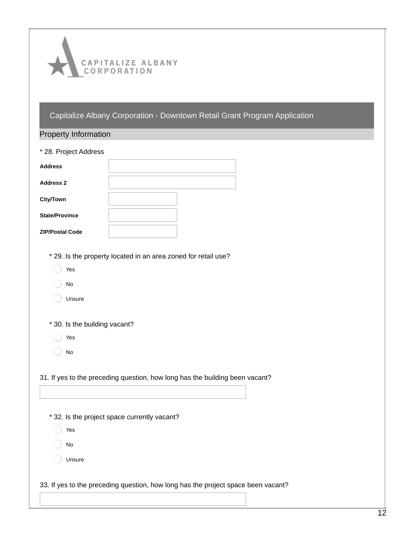

| * 28. Project Address<br>* 29. Is the property located in an area zoned for retail use?<br>Yes<br>No<br>Unsure<br>* 30. Is the building vacant?<br>Yes<br>No<br>31. If yes to the preceding question, how long has the building been vacant?<br>* 32. Is the project space currently vacant?<br>Yes<br>No<br>Unsure<br>33. If yes to the preceding question, how long has the project space been vacant? | <b>Property Information</b> |  |
|----------------------------------------------------------------------------------------------------------------------------------------------------------------------------------------------------------------------------------------------------------------------------------------------------------------------------------------------------------------------------------------------------------|-----------------------------|--|
|                                                                                                                                                                                                                                                                                                                                                                                                          |                             |  |
|                                                                                                                                                                                                                                                                                                                                                                                                          | <b>Address</b>              |  |
|                                                                                                                                                                                                                                                                                                                                                                                                          | <b>Address 2</b>            |  |
|                                                                                                                                                                                                                                                                                                                                                                                                          | <b>City/Town</b>            |  |
|                                                                                                                                                                                                                                                                                                                                                                                                          | <b>State/Province</b>       |  |
|                                                                                                                                                                                                                                                                                                                                                                                                          | <b>ZIP/Postal Code</b>      |  |
|                                                                                                                                                                                                                                                                                                                                                                                                          |                             |  |
|                                                                                                                                                                                                                                                                                                                                                                                                          |                             |  |
|                                                                                                                                                                                                                                                                                                                                                                                                          |                             |  |
|                                                                                                                                                                                                                                                                                                                                                                                                          |                             |  |
|                                                                                                                                                                                                                                                                                                                                                                                                          |                             |  |
|                                                                                                                                                                                                                                                                                                                                                                                                          |                             |  |
|                                                                                                                                                                                                                                                                                                                                                                                                          |                             |  |
|                                                                                                                                                                                                                                                                                                                                                                                                          |                             |  |
|                                                                                                                                                                                                                                                                                                                                                                                                          |                             |  |
|                                                                                                                                                                                                                                                                                                                                                                                                          |                             |  |
|                                                                                                                                                                                                                                                                                                                                                                                                          |                             |  |
|                                                                                                                                                                                                                                                                                                                                                                                                          |                             |  |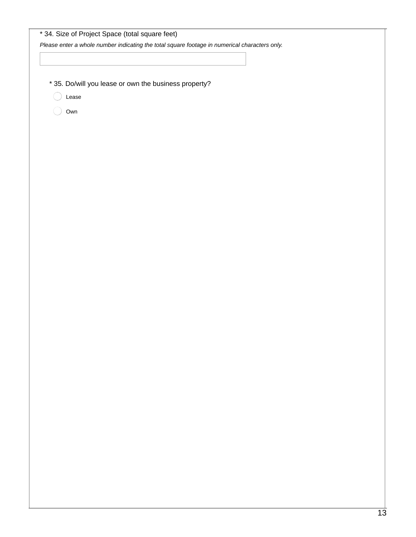|       |                                                       | Please enter a whole number indicating the total square footage in numerical characters only. |  |
|-------|-------------------------------------------------------|-----------------------------------------------------------------------------------------------|--|
|       |                                                       |                                                                                               |  |
|       |                                                       |                                                                                               |  |
|       | * 35. Do/will you lease or own the business property? |                                                                                               |  |
| Lease |                                                       |                                                                                               |  |
| Own   |                                                       |                                                                                               |  |
|       |                                                       |                                                                                               |  |
|       |                                                       |                                                                                               |  |
|       |                                                       |                                                                                               |  |
|       |                                                       |                                                                                               |  |
|       |                                                       |                                                                                               |  |
|       |                                                       |                                                                                               |  |
|       |                                                       |                                                                                               |  |
|       |                                                       |                                                                                               |  |
|       |                                                       |                                                                                               |  |
|       |                                                       |                                                                                               |  |
|       |                                                       |                                                                                               |  |
|       |                                                       |                                                                                               |  |
|       |                                                       |                                                                                               |  |
|       |                                                       |                                                                                               |  |
|       |                                                       |                                                                                               |  |
|       |                                                       |                                                                                               |  |
|       |                                                       |                                                                                               |  |
|       |                                                       |                                                                                               |  |
|       |                                                       |                                                                                               |  |
|       |                                                       |                                                                                               |  |
|       |                                                       |                                                                                               |  |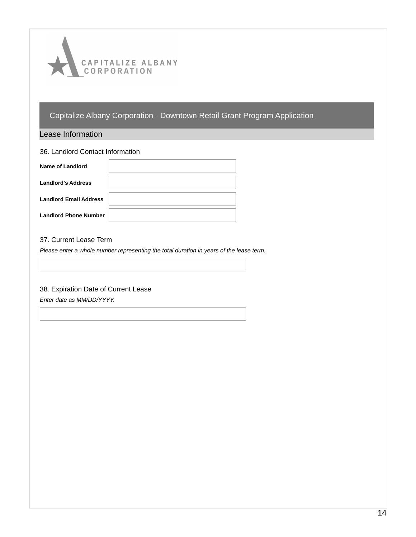

Lease Information

| 36. Landlord Contact Information |  |
|----------------------------------|--|
| Name of Landlord                 |  |
| <b>Landlord's Address</b>        |  |
| <b>Landlord Email Address</b>    |  |
| <b>Landlord Phone Number</b>     |  |

#### 37. Current Lease Term

*Please enter a whole number representing the total duration in years of the lease term.*

#### 38. Expiration Date of Current Lease

*Enter date as MM/DD/YYYY.*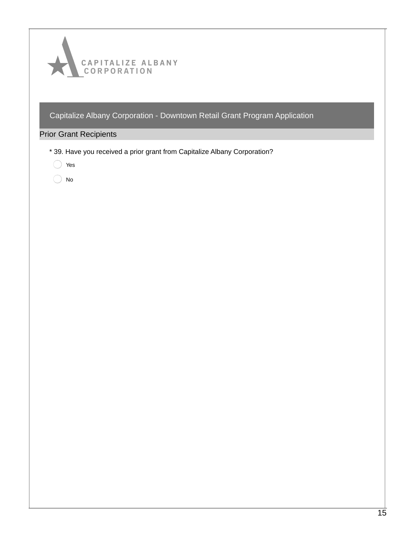

# Prior Grant Recipients

- \* 39. Have you received a prior grant from Capitalize Albany Corporation?
	- ◯ Yes
	- $\bigcirc$  No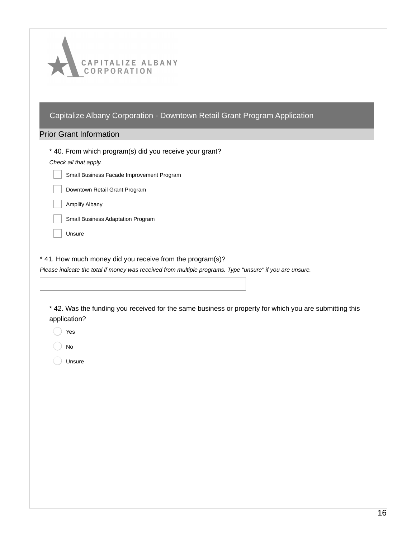| CAPITALIZE ALBANY<br>CORPORATION                                                                                                                                                                                                   |
|------------------------------------------------------------------------------------------------------------------------------------------------------------------------------------------------------------------------------------|
| Capitalize Albany Corporation - Downtown Retail Grant Program Application                                                                                                                                                          |
| <b>Prior Grant Information</b>                                                                                                                                                                                                     |
| * 40. From which program(s) did you receive your grant?                                                                                                                                                                            |
| Check all that apply.<br>Small Business Facade Improvement Program                                                                                                                                                                 |
| Downtown Retail Grant Program                                                                                                                                                                                                      |
| Amplify Albany                                                                                                                                                                                                                     |
| Small Business Adaptation Program                                                                                                                                                                                                  |
| Unsure                                                                                                                                                                                                                             |
| Please indicate the total if money was received from multiple programs. Type "unsure" if you are unsure.<br>* 42. Was the funding you received for the same business or property for which you are submitting this<br>application? |
| Yes                                                                                                                                                                                                                                |
| No                                                                                                                                                                                                                                 |
| Unsure                                                                                                                                                                                                                             |
|                                                                                                                                                                                                                                    |
|                                                                                                                                                                                                                                    |
|                                                                                                                                                                                                                                    |
|                                                                                                                                                                                                                                    |
|                                                                                                                                                                                                                                    |
|                                                                                                                                                                                                                                    |
|                                                                                                                                                                                                                                    |
|                                                                                                                                                                                                                                    |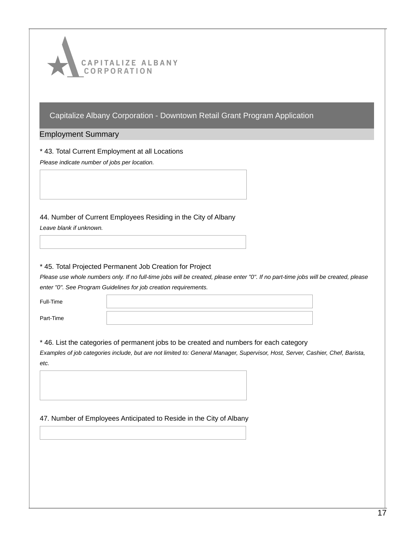

#### Employment Summary

\* 43. Total Current Employment at all Locations

*Please indicate number of jobs per location.*

44. Number of Current Employees Residing in the City of Albany

*Leave blank if unknown.*

#### \* 45. Total Projected Permanent Job Creation for Project

Please use whole numbers only. If no full-time jobs will be created, please enter "0". If no part-time jobs will be created, please *enter "0". See Program Guidelines for job creation requirements.*

| Full-Time |  |
|-----------|--|
| Part-Time |  |

#### \* 46. List the categories of permanent jobs to be created and numbers for each category

Examples of job categories include, but are not limited to: General Manager, Supervisor, Host, Server, Cashier, Chef, Barista, *etc.*

#### 47. Number of Employees Anticipated to Reside in the City of Albany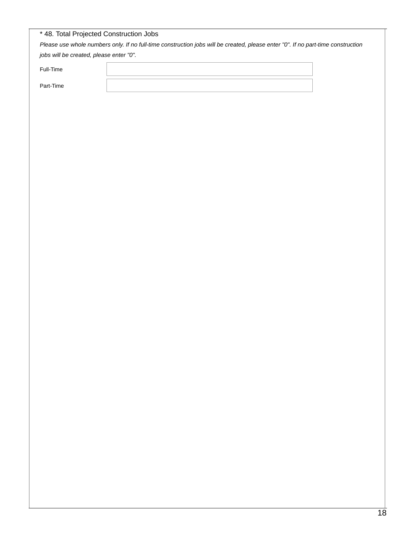|           | jobs will be created, please enter "0". |  |  |
|-----------|-----------------------------------------|--|--|
| Full-Time |                                         |  |  |
| Part-Time |                                         |  |  |
|           |                                         |  |  |
|           |                                         |  |  |
|           |                                         |  |  |
|           |                                         |  |  |
|           |                                         |  |  |
|           |                                         |  |  |
|           |                                         |  |  |
|           |                                         |  |  |
|           |                                         |  |  |
|           |                                         |  |  |
|           |                                         |  |  |
|           |                                         |  |  |
|           |                                         |  |  |
|           |                                         |  |  |
|           |                                         |  |  |
|           |                                         |  |  |
|           |                                         |  |  |
|           |                                         |  |  |
|           |                                         |  |  |
|           |                                         |  |  |
|           |                                         |  |  |
|           |                                         |  |  |
|           |                                         |  |  |
|           |                                         |  |  |
|           |                                         |  |  |
|           |                                         |  |  |
|           |                                         |  |  |
|           |                                         |  |  |
|           |                                         |  |  |
|           |                                         |  |  |
|           |                                         |  |  |
|           |                                         |  |  |
|           |                                         |  |  |
|           |                                         |  |  |
|           |                                         |  |  |
|           |                                         |  |  |
|           |                                         |  |  |
|           |                                         |  |  |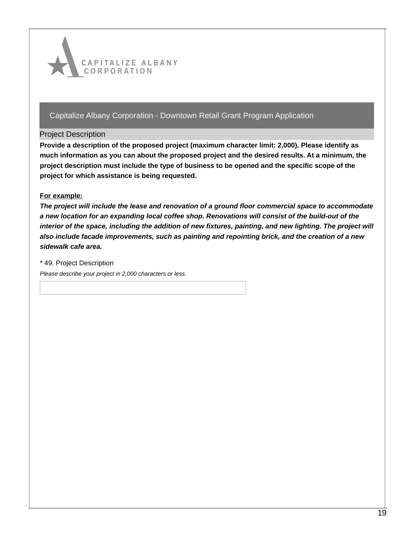

#### Project Description

**Provide a description of the proposed project (maximum character limit: 2,000). Please identify as much information as you can about the proposed project and the desired results. At a minimum, the project description must include the type of business to be opened and the specific scope of the project for which assistance is being requested.**

#### **For example:**

*The project will include the lease and renovation of a ground floor commercial space to accommodate a new location for an expanding local coffee shop. Renovations will consist of the build-out of the* interior of the space, including the addition of new fixtures, painting, and new lighting. The project will *also include facade improvements, such as painting and repointing brick, and the creation of a new sidewalk cafe area.*

\* 49. Project Description

*Please describe your project in 2,000 characters or less.*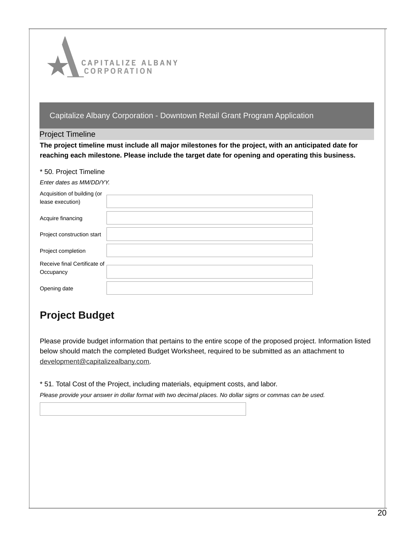

#### Project Timeline

**The project timeline must include all major milestones for the project, with an anticipated date for reaching each milestone. Please include the target date for opening and operating this business.**

|  |  |  | * 50. Project Timeline |  |
|--|--|--|------------------------|--|
|--|--|--|------------------------|--|

|  | Enter dates as MM/DD/YY. |
|--|--------------------------|
|  |                          |

| Acquisition of building (or  |  |
|------------------------------|--|
| lease execution)             |  |
|                              |  |
| Acquire financing            |  |
|                              |  |
| Project construction start   |  |
|                              |  |
| Project completion           |  |
|                              |  |
| Receive final Certificate of |  |
| Occupancy                    |  |
|                              |  |
| Opening date                 |  |
|                              |  |

# **Project Budget**

Please provide budget information that pertains to the entire scope of the proposed project. Information listed below should match the completed Budget Worksheet, required to be submitted as an attachment to [development@capitalizealbany.com](mailto:development@capitalizealbany.com).

\* 51. Total Cost of the Project, including materials, equipment costs, and labor.

Please provide your answer in dollar format with two decimal places. No dollar signs or commas can be used.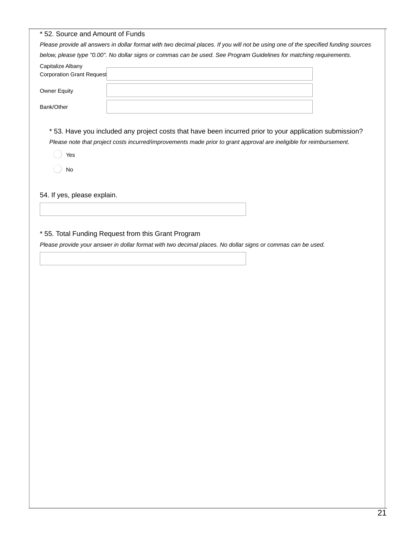| * 52. Source and Amount of Funds                                                                                                   |                                                                                                                                                                                                                               |  |
|------------------------------------------------------------------------------------------------------------------------------------|-------------------------------------------------------------------------------------------------------------------------------------------------------------------------------------------------------------------------------|--|
| Please provide all answers in dollar format with two decimal places. If you will not be using one of the specified funding sources |                                                                                                                                                                                                                               |  |
|                                                                                                                                    | below, please type "0.00". No dollar signs or commas can be used. See Program Guidelines for matching requirements.                                                                                                           |  |
| Capitalize Albany<br>Corporation Grant Request                                                                                     |                                                                                                                                                                                                                               |  |
| <b>Owner Equity</b>                                                                                                                |                                                                                                                                                                                                                               |  |
| Bank/Other                                                                                                                         |                                                                                                                                                                                                                               |  |
| Yes<br>No                                                                                                                          | *53. Have you included any project costs that have been incurred prior to your application submission?<br>Please note that project costs incurred/improvements made prior to grant approval are ineligible for reimbursement. |  |
| 54. If yes, please explain.                                                                                                        |                                                                                                                                                                                                                               |  |
|                                                                                                                                    |                                                                                                                                                                                                                               |  |
|                                                                                                                                    |                                                                                                                                                                                                                               |  |

# \* 55. Total Funding Request from this Grant Program

Please provide your answer in dollar format with two decimal places. No dollar signs or commas can be used.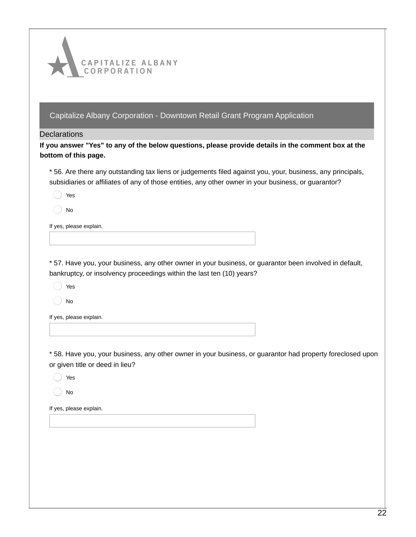

#### **Declarations**

If you answer "Yes" to any of the below questions, please provide details in the comment box at the **bottom of this page.**

\* 56. Are there any outstanding tax liens or judgements filed against you, your, business, any principals, subsidiaries or affiliates of any of those entities, any other owner in your business, or guarantor?

Yes

No

If yes, please explain.

\* 57. Have you, your business, any other owner in your business, or guarantor been involved in default, bankruptcy, or insolvency proceedings within the last ten (10) years?

Yes

No

If yes, please explain.

\* 58. Have you, your business, any other owner in your business, or guarantor had property foreclosed upon or given title or deed in lieu?

Yes

No

If yes, please explain.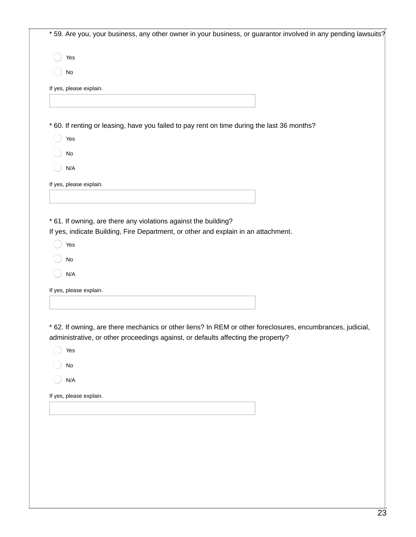\* 59. Are you, your business, any other owner in your business, or guarantor involved in any pending lawsuits?

Yes

No

If yes, please explain.

\* 60. If renting or leasing, have you failed to pay rent on time during the last 36 months?

Yes

No

N/A

If yes, please explain.

\* 61. If owning, are there any violations against the building?

If yes, indicate Building, Fire Department, or other and explain in an attachment.

Yes

No

N/A

If yes, please explain.

\* 62. If owning, are there mechanics or other liens? In REM or other foreclosures, encumbrances, judicial, administrative, or other proceedings against, or defaults affecting the property?

Yes

No

N/A

If yes, please explain.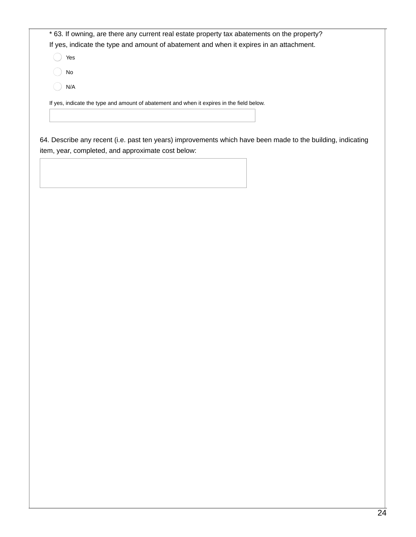\* 63. If owning, are there any current real estate property tax abatements on the property? If yes, indicate the type and amount of abatement and when it expires in an attachment.

Yes

No

N/A

If yes, indicate the type and amount of abatement and when it expires in the field below.

64. Describe any recent (i.e. past ten years) improvements which have been made to the building, indicating item, year, completed, and approximate cost below: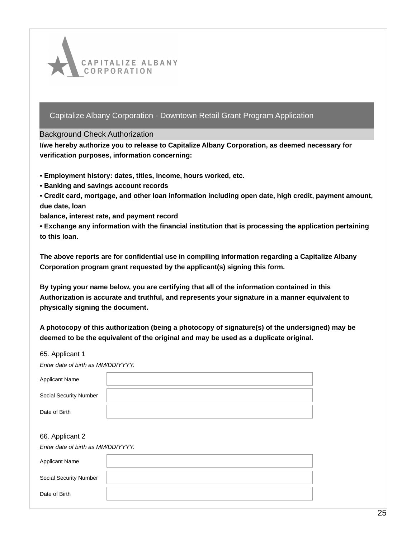

#### Background Check Authorization

**I/we hereby authorize you to release to Capitalize Albany Corporation, as deemed necessary for verification purposes, information concerning:**

- **• Employment history: dates, titles, income, hours worked, etc.**
- **• Banking and savings account records**
- **• Credit card, mortgage, and other loan information including open date, high credit, payment amount, due date, loan**

**balance, interest rate, and payment record**

**• Exchange any information with the financial institution that is processing the application pertaining to this loan.**

**The above reports are for confidential use in compiling information regarding a Capitalize Albany Corporation program grant requested by the applicant(s) signing this form.**

**By typing your name below, you are certifying that all of the information contained in this Authorization is accurate and truthful, and represents your signature in a manner equivalent to physically signing the document.**

**A photocopy of this authorization (being a photocopy of signature(s) of the undersigned) may be deemed to be the equivalent of the original and may be used as a duplicate original.**

| 65. Applicant 1                    |  |
|------------------------------------|--|
| Enter date of birth as MM/DD/YYYY. |  |
| <b>Applicant Name</b>              |  |
| Social Security Number             |  |
| Date of Birth                      |  |
|                                    |  |
| 66. Applicant 2                    |  |
| Enter date of birth as MM/DD/YYYY. |  |
| <b>Applicant Name</b>              |  |
| Social Security Number             |  |
| Date of Birth                      |  |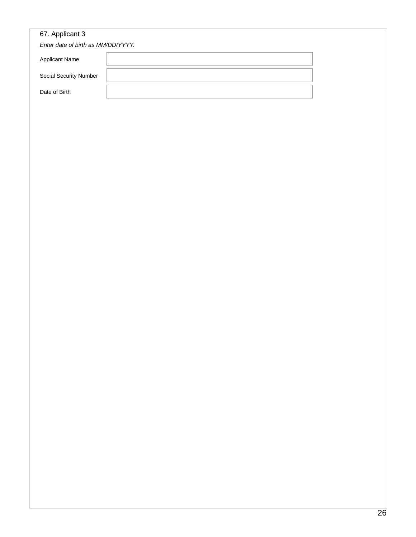| 67. Applicant 3                    |  |
|------------------------------------|--|
| Enter date of birth as MM/DD/YYYY. |  |
| Applicant Name                     |  |
| Social Security Number             |  |
| Date of Birth                      |  |
|                                    |  |
|                                    |  |
|                                    |  |
|                                    |  |
|                                    |  |
|                                    |  |
|                                    |  |
|                                    |  |
|                                    |  |
|                                    |  |
|                                    |  |
|                                    |  |
|                                    |  |
|                                    |  |
|                                    |  |
|                                    |  |
|                                    |  |
|                                    |  |
|                                    |  |
|                                    |  |
|                                    |  |
|                                    |  |
|                                    |  |
|                                    |  |
|                                    |  |
|                                    |  |
|                                    |  |
|                                    |  |
|                                    |  |
|                                    |  |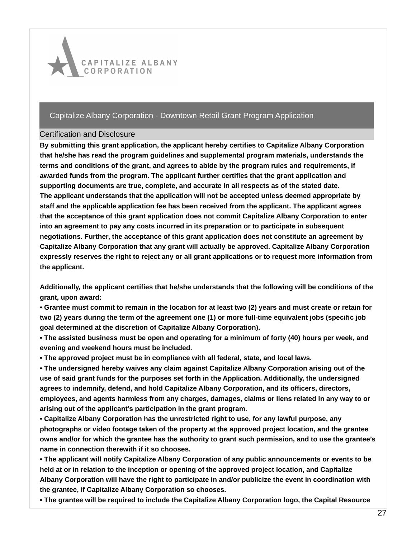

## Certification and Disclosure

**By submitting this grant application, the applicant hereby certifies to Capitalize Albany Corporation that he/she has read the program guidelines and supplemental program materials, understands the terms and conditions of the grant, and agrees to abide by the program rules and requirements, if awarded funds from the program. The applicant further certifies that the grant application and supporting documents are true, complete, and accurate in all respects as of the stated date. The applicant understands that the application will not be accepted unless deemed appropriate by staff and the applicable application fee has been received from the applicant. The applicant agrees that the acceptance of this grant application does not commit Capitalize Albany Corporation to enter into an agreement to pay any costs incurred in its preparation or to participate in subsequent negotiations. Further, the acceptance of this grant application does not constitute an agreement by Capitalize Albany Corporation that any grant will actually be approved. Capitalize Albany Corporation expressly reserves the right to reject any or all grant applications or to request more information from the applicant.**

**Additionally, the applicant certifies that he/she understands that the following will be conditions of the grant, upon award:**

• Grantee must commit to remain in the location for at least two (2) years and must create or retain for two (2) years during the term of the agreement one (1) or more full-time equivalent jobs (specific job **goal determined at the discretion of Capitalize Albany Corporation).**

• The assisted business must be open and operating for a minimum of forty (40) hours per week, and **evening and weekend hours must be included.**

**• The approved project must be in compliance with all federal, state, and local laws.**

**• The undersigned hereby waives any claim against Capitalize Albany Corporation arising out of the use of said grant funds for the purposes set forth in the Application. Additionally, the undersigned agrees to indemnify, defend, and hold Capitalize Albany Corporation, and its officers, directors, employees, and agents harmless from any charges, damages, claims or liens related in any way to or arising out of the applicant's participation in the grant program.**

**• Capitalize Albany Corporation has the unrestricted right to use, for any lawful purpose, any photographs or video footage taken of the property at the approved project location, and the grantee** owns and/or for which the grantee has the authority to grant such permission, and to use the grantee's **name in connection therewith if it so chooses.**

**• The applicant will notify Capitalize Albany Corporation of any public announcements or events to be held at or in relation to the inception or opening of the approved project location, and Capitalize Albany Corporation will have the right to participate in and/or publicize the event in coordination with the grantee, if Capitalize Albany Corporation so chooses.**

**• The grantee will be required to include the Capitalize Albany Corporation logo, the Capital Resource**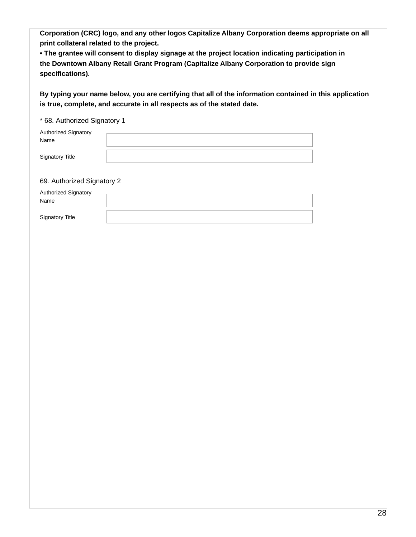**Corporation (CRC) logo, and any other logos Capitalize Albany Corporation deems appropriate on all print collateral related to the project.**

**• The grantee will consent to display signage at the project location indicating participation in the Downtown Albany Retail Grant Program (Capitalize Albany Corporation to provide sign specifications).**

**By typing your name below, you are certifying that all of the information contained in this application is true, complete, and accurate in all respects as of the stated date.**

#### \* 68. Authorized Signatory 1

| <b>Authorized Signatory</b> |  |
|-----------------------------|--|
| Name                        |  |
|                             |  |
| Signatory Title             |  |

#### 69. Authorized Signatory 2

| <b>Authorized Signatory</b> |  |
|-----------------------------|--|
| Name                        |  |
|                             |  |
| <b>Signatory Title</b>      |  |